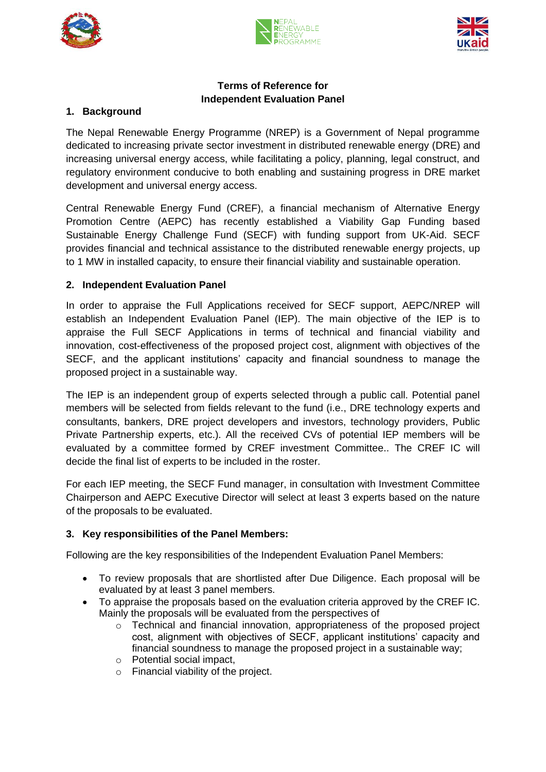





## **Terms of Reference for Independent Evaluation Panel**

## **1. Background**

The Nepal Renewable Energy Programme (NREP) is a Government of Nepal programme dedicated to increasing private sector investment in distributed renewable energy (DRE) and increasing universal energy access, while facilitating a policy, planning, legal construct, and regulatory environment conducive to both enabling and sustaining progress in DRE market development and universal energy access.

Central Renewable Energy Fund (CREF), a financial mechanism of Alternative Energy Promotion Centre (AEPC) has recently established a Viability Gap Funding based Sustainable Energy Challenge Fund (SECF) with funding support from UK-Aid. SECF provides financial and technical assistance to the distributed renewable energy projects, up to 1 MW in installed capacity, to ensure their financial viability and sustainable operation.

## **2. Independent Evaluation Panel**

In order to appraise the Full Applications received for SECF support, AEPC/NREP will establish an Independent Evaluation Panel (IEP). The main objective of the IEP is to appraise the Full SECF Applications in terms of technical and financial viability and innovation, cost-effectiveness of the proposed project cost, alignment with objectives of the SECF, and the applicant institutions' capacity and financial soundness to manage the proposed project in a sustainable way.

The IEP is an independent group of experts selected through a public call. Potential panel members will be selected from fields relevant to the fund (i.e., DRE technology experts and consultants, bankers, DRE project developers and investors, technology providers, Public Private Partnership experts, etc.). All the received CVs of potential IEP members will be evaluated by a committee formed by CREF investment Committee.. The CREF IC will decide the final list of experts to be included in the roster.

For each IEP meeting, the SECF Fund manager, in consultation with Investment Committee Chairperson and AEPC Executive Director will select at least 3 experts based on the nature of the proposals to be evaluated.

## **3. Key responsibilities of the Panel Members:**

Following are the key responsibilities of the Independent Evaluation Panel Members:

- To review proposals that are shortlisted after Due Diligence. Each proposal will be evaluated by at least 3 panel members.
- To appraise the proposals based on the evaluation criteria approved by the CREF IC. Mainly the proposals will be evaluated from the perspectives of
	- $\circ$  Technical and financial innovation, appropriateness of the proposed project cost, alignment with objectives of SECF, applicant institutions' capacity and financial soundness to manage the proposed project in a sustainable way;
	- o Potential social impact,
	- o Financial viability of the project.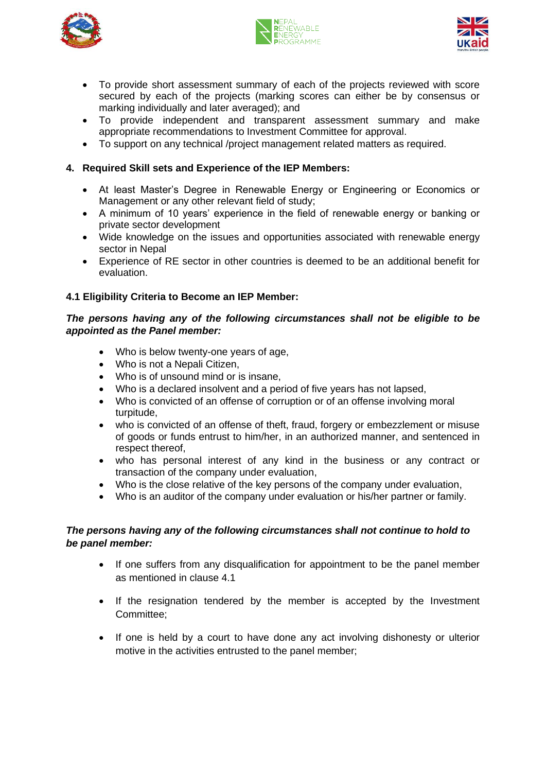





- To provide short assessment summary of each of the projects reviewed with score secured by each of the projects (marking scores can either be by consensus or marking individually and later averaged); and
- To provide independent and transparent assessment summary and make appropriate recommendations to Investment Committee for approval.
- To support on any technical /project management related matters as required.

# **4. Required Skill sets and Experience of the IEP Members:**

- At least Master's Degree in Renewable Energy or Engineering or Economics or Management or any other relevant field of study;
- A minimum of 10 years' experience in the field of renewable energy or banking or private sector development
- Wide knowledge on the issues and opportunities associated with renewable energy sector in Nepal
- Experience of RE sector in other countries is deemed to be an additional benefit for evaluation.

# **4.1 Eligibility Criteria to Become an IEP Member:**

#### *The persons having any of the following circumstances shall not be eligible to be appointed as the Panel member:*

- Who is below twenty-one years of age,
- Who is not a Nepali Citizen,
- Who is of unsound mind or is insane,
- Who is a declared insolvent and a period of five years has not lapsed,
- Who is convicted of an offense of corruption or of an offense involving moral turpitude,
- who is convicted of an offense of theft, fraud, forgery or embezzlement or misuse of goods or funds entrust to him/her, in an authorized manner, and sentenced in respect thereof,
- who has personal interest of any kind in the business or any contract or transaction of the company under evaluation,
- Who is the close relative of the key persons of the company under evaluation,
- Who is an auditor of the company under evaluation or his/her partner or family.

## *The persons having any of the following circumstances shall not continue to hold to be panel member:*

- If one suffers from any disqualification for appointment to be the panel member as mentioned in clause 4.1
- If the resignation tendered by the member is accepted by the Investment Committee;
- If one is held by a court to have done any act involving dishonesty or ulterior motive in the activities entrusted to the panel member;